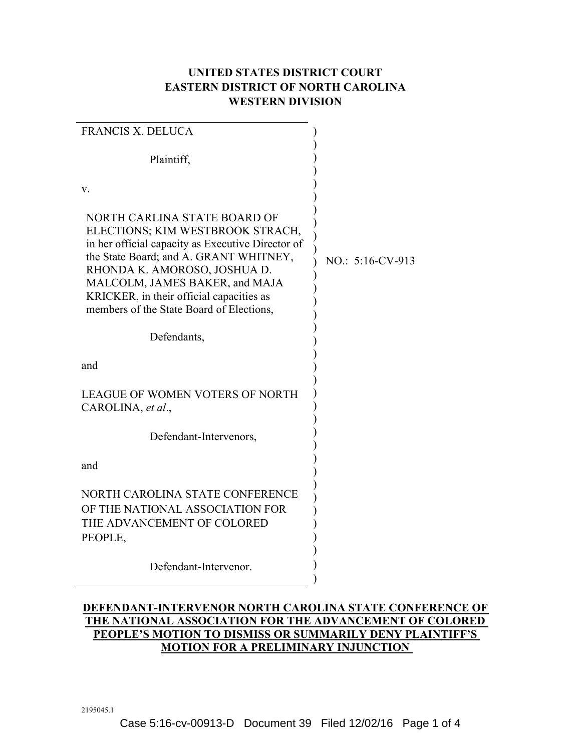## **UNITED STATES DISTRICT COURT EASTERN DISTRICT OF NORTH CAROLINA WESTERN DIVISION**

| <b>FRANCIS X. DELUCA</b>                                                                                                                                                                                                                                                                                                  |                  |
|---------------------------------------------------------------------------------------------------------------------------------------------------------------------------------------------------------------------------------------------------------------------------------------------------------------------------|------------------|
| Plaintiff,                                                                                                                                                                                                                                                                                                                |                  |
| V.                                                                                                                                                                                                                                                                                                                        |                  |
| NORTH CARLINA STATE BOARD OF<br>ELECTIONS; KIM WESTBROOK STRACH,<br>in her official capacity as Executive Director of<br>the State Board; and A. GRANT WHITNEY,<br>RHONDA K. AMOROSO, JOSHUA D.<br>MALCOLM, JAMES BAKER, and MAJA<br>KRICKER, in their official capacities as<br>members of the State Board of Elections, | NO.: 5:16-CV-913 |
| Defendants,                                                                                                                                                                                                                                                                                                               |                  |
| and                                                                                                                                                                                                                                                                                                                       |                  |
| <b>LEAGUE OF WOMEN VOTERS OF NORTH</b><br>CAROLINA, et al.,                                                                                                                                                                                                                                                               |                  |
| Defendant-Intervenors,                                                                                                                                                                                                                                                                                                    |                  |
| and                                                                                                                                                                                                                                                                                                                       |                  |
| NORTH CAROLINA STATE CONFERENCE<br>OF THE NATIONAL ASSOCIATION FOR<br>THE ADVANCEMENT OF COLORED<br>PEOPLE,                                                                                                                                                                                                               |                  |
| Defendant-Intervenor.                                                                                                                                                                                                                                                                                                     |                  |
|                                                                                                                                                                                                                                                                                                                           |                  |

## **DEFENDANT-INTERVENOR NORTH CAROLINA STATE CONFERENCE OF THE NATIONAL ASSOCIATION FOR THE ADVANCEMENT OF COLORED PEOPLE'S MOTION TO DISMISS OR SUMMARILY DENY PLAINTIFF'S MOTION FOR A PRELIMINARY INJUNCTION**

2195045.1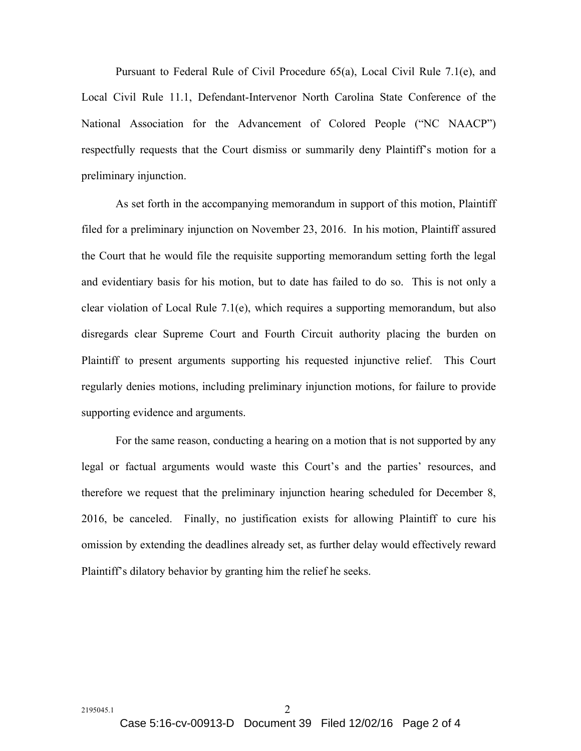Pursuant to Federal Rule of Civil Procedure 65(a), Local Civil Rule 7.1(e), and Local Civil Rule 11.1, Defendant-Intervenor North Carolina State Conference of the National Association for the Advancement of Colored People ("NC NAACP") respectfully requests that the Court dismiss or summarily deny Plaintiff's motion for a preliminary injunction.

As set forth in the accompanying memorandum in support of this motion, Plaintiff filed for a preliminary injunction on November 23, 2016. In his motion, Plaintiff assured the Court that he would file the requisite supporting memorandum setting forth the legal and evidentiary basis for his motion, but to date has failed to do so. This is not only a clear violation of Local Rule 7.1(e), which requires a supporting memorandum, but also disregards clear Supreme Court and Fourth Circuit authority placing the burden on Plaintiff to present arguments supporting his requested injunctive relief. This Court regularly denies motions, including preliminary injunction motions, for failure to provide supporting evidence and arguments.

For the same reason, conducting a hearing on a motion that is not supported by any legal or factual arguments would waste this Court's and the parties' resources, and therefore we request that the preliminary injunction hearing scheduled for December 8, 2016, be canceled. Finally, no justification exists for allowing Plaintiff to cure his omission by extending the deadlines already set, as further delay would effectively reward Plaintiff's dilatory behavior by granting him the relief he seeks.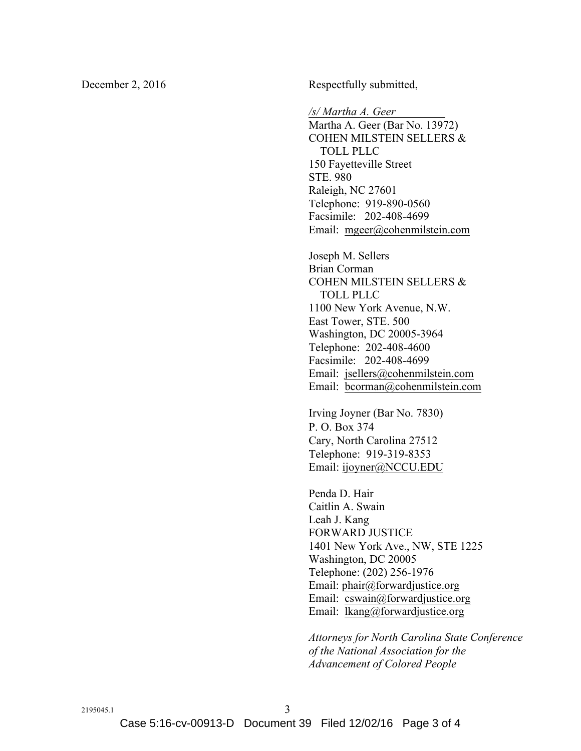December 2, 2016 Respectfully submitted,

*/s/ Martha A. Geer* Martha A. Geer (Bar No. 13972) COHEN MILSTEIN SELLERS & TOLL PLLC 150 Fayetteville Street STE. 980 Raleigh, NC 27601 Telephone: 919-890-0560 Facsimile: 202-408-4699 Email: mgeer@cohenmilstein.com

Joseph M. Sellers Brian Corman COHEN MILSTEIN SELLERS & TOLL PLLC 1100 New York Avenue, N.W. East Tower, STE. 500 Washington, DC 20005-3964 Telephone: 202-408-4600 Facsimile: 202-408-4699 Email: jsellers@cohenmilstein.com Email: bcorman@cohenmilstein.com

Irving Joyner (Bar No. 7830) P. O. Box 374 Cary, North Carolina 27512 Telephone: 919-319-8353 Email: ijoyner@NCCU.EDU

Penda D. Hair Caitlin A. Swain Leah J. Kang FORWARD JUSTICE 1401 New York Ave., NW, STE 1225 Washington, DC 20005 Telephone: (202) 256-1976 Email: phair@forwardjustice.org Email: cswain@forwardjustice.org Email: lkang@forwardjustice.org

*Attorneys for North Carolina State Conference of the National Association for the Advancement of Colored People*